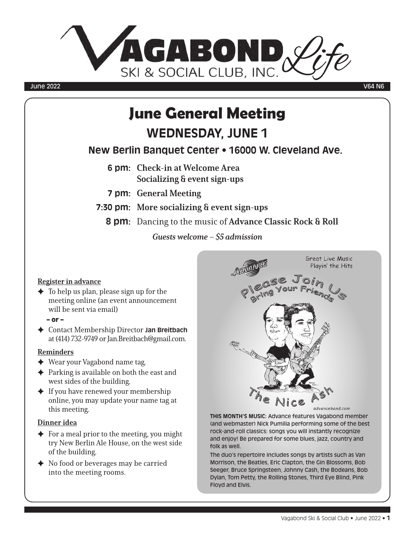

#### June 2022 V64 N6

# June General Meeting **WEDNESDAY, JUNE 1**

**New Berlin Banquet Center • 16000 W. Cleveland Ave.**

- **6 pm:** Check-in at Welcome Area Socializing & event sign-ups
- **7 pm:** General Meeting
- **7:30 pm:** More socializing & event sign-ups
	- **8 pm:** Dancing to the music of Advance Classic Rock & Roll

Guests welcome – \$5 admission

#### Register in advance

- $\blacklozenge$  To help us plan, please sign up for the meeting online (an event announcement will be sent via email)
	- or –
- F Contact Membership Director **Jan Breitbach** at (414) 732-9749 or Jan.Breitbach@gmail.com.

#### Reminders

- $\blacklozenge$  Wear your Vagabond name tag.
- $\triangle$  Parking is available on both the east and west sides of the building.
- $\triangleq$  If you have renewed your membership online, you may update your name tag at this meeting.

#### Dinner idea

- $\rightarrow$  For a meal prior to the meeting, you might try New Berlin Ale House, on the west side of the building.
- $\blacklozenge$  No food or beverages may be carried into the meeting rooms.



**THIS MONTH'S MUSIC**: Advance features Vagabond member (and webmaster) Nick Pumilia performing some of the best rock-and-roll classics: songs you will instantly recognize and enjoy! Be prepared for some blues, jazz, country and folk as well.

The duo's repertoire includes songs by artists such as Van Morrison, the Beatles, Eric Clapton, the Gin Blossoms, Bob Seeger, Bruce Springsteen, Johnny Cash, the Bodeans, Bob Dylan, Tom Petty, the Rolling Stones, Third Eye Blind, Pink Floyd and Elvis.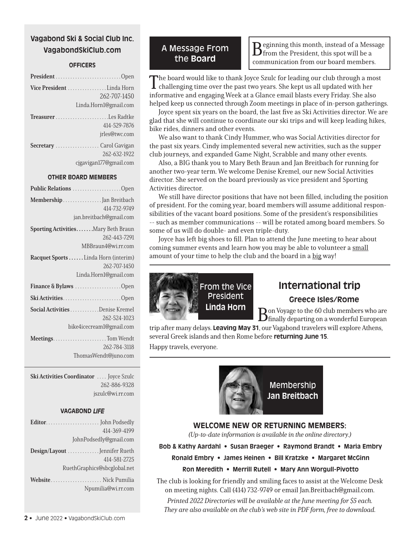# **Vagabond Ski & Social Club Inc. VagabondSkiClub.com**

#### **OFFICERS**

| Vice President Linda Horn<br>262-707-1450<br>Linda.Horn1@gmail.com       |
|--------------------------------------------------------------------------|
| 414-529-7876<br>jrles@twc.com                                            |
| <b>Secretary</b> Carol Gavigan<br>262-632-1922<br>cjgavigan177@gmail.com |

#### **OTHER BOARD MEMBERS**

| Public Relations Open                                                         |
|-------------------------------------------------------------------------------|
| Membership Jan Breitbach<br>414-732-9749<br>jan.breitbach@gmail.com           |
| Sporting ActivitiesMary Beth Braun<br>262-443-7291<br>MBBraun4@wi.rr.com      |
| Racquet Sports  Linda Horn (interim)<br>262-707-1450<br>Linda.Horn1@gmail.com |
| Finance & Bylaws Open                                                         |
| Ski ActivitiesOpen                                                            |
| Social Activities Denise Kremel<br>262-524-1023<br>bike4icecream1@gmail.com   |
| 262-784-3118<br>ThomasWendt@juno.com                                          |

Ski Activities Coordinator .... Joyce Szulc 262-886-9328 jszulc@wi.rr.com

#### **VAGABOND** *LIFE*

| 414-369-4199                                  |
|-----------------------------------------------|
| JohnPodsedly@gmail.com                        |
| Design/Layout  Jennifer Rueth<br>414-581-2725 |
| RuethGraphics@sbcglobal.net                   |
| Website Nick Pumilia<br>Npumilia@wi.rr.com    |

# A Message From

**the Board** Beginning this month, instead of a Message<br> **EXECUTE:** Board Communication from our board members from the President, this spot will be a communication from our board members.

The board would like to thank Joyce Szulc for leading our club through a most challenging time over the past two years. She kept us all updated with her informative and engaging Week at a Glance email blasts every Friday. She also helped keep us connected through Zoom meetings in place of in-person gatherings.

Joyce spent six years on the board, the last five as Ski Activities director. We are glad that she will continue to coordinate our ski trips and will keep leading hikes, bike rides, dinners and other events.

We also want to thank Cindy Hummer, who was Social Activities director for the past six years. Cindy implemented several new activities, such as the supper club journeys, and expanded Game Night, Scrabble and many other events.

Also, a BIG thank you to Mary Beth Braun and Jan Breitbach for running for another two-year term. We welcome Denise Kremel, our new Social Activities director. She served on the board previously as vice president and Sporting Activities director.

We still have director positions that have not been filled, including the position of president. For the coming year, board members will assume additional responsibilities of the vacant board positions. Some of the president's responsibilities -- such as member communications -- will be rotated among board members. So some of us will do double- and even triple-duty.

Joyce has left big shoes to fill. Plan to attend the June meeting to hear about coming summer events and learn how you may be able to volunteer a small amount of your time to help the club and the board in a big way!



# **International trip**

#### **Greece Isles/Rome**

Bon Voyage to the 60 club members who are finally departing on a wonderful European

trip after many delays. **Leaving May 31**, our Vagabond travelers will explore Athens, several Greek islands and then Rome before **returning June 15**. Happy travels, everyone.



#### **WELCOME NEW OR RETURNING MEMBERS:**

(Up-to-date information is available in the online directory.)

**Bob & Kathy Aardahl • Susan Braeger • Raymond Brandt • Maria Embry**

**Ronald Embry • James Heinen • Bill Kratzke • Margaret McGinn**

#### **Ron Meredith • Merrill Rutell • Mary Ann Worgull-Pivotto**

The club is looking for friendly and smiling faces to assist at the Welcome Desk on meeting nights. Call (414) 732-9749 or email Jan.Breitbach@gmail.com.

Printed 2022 Directories will be available at the June meeting for \$5 each. They are also available on the club's web site in PDF form, free to download.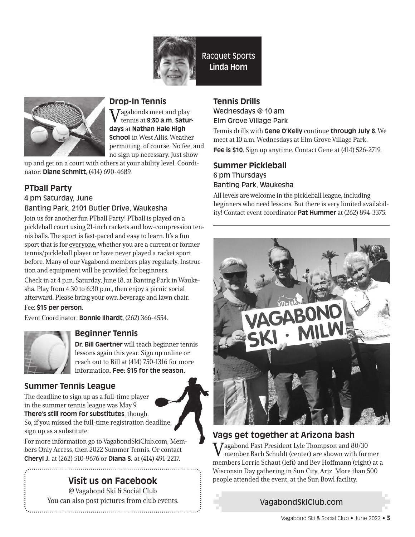

Racquet Sports **Linda Horn**



# **Drop-In Tennis**

 $\sum_{n=1}^{\infty}$  Jagabonds meet and play tennis at **9:30 a.m. Saturdays** at **Nathan Hale High School** in West Allis. Weather permitting, of course. No fee, and no sign up necessary. Just show

up and get on a court with others at your ability level. Coordinator: **Diane Schmitt**, (414) 690-4689.

# **PTball Party**

4 pm Saturday, June

## Banting Park, 2101 Butler Drive, Waukesha

Join us for another fun PTball Party! PTball is played on a pickleball court using 21-inch rackets and low-compression tennis balls. The sport is fast-paced and easy to learn. It's a fun sport that is for everyone, whether you are a current or former tennis/pickleball player or have never played a racket sport before. Many of our Vagabond members play regularly. Instruction and equipment will be provided for beginners.

Check in at 4 p.m. Saturday, June 18, at Banting Park in Waukesha. Play from 4:30 to 6:30 p.m., then enjoy a picnic social afterward. Please bring your own beverage and lawn chair.

#### Fee: **\$15 per person**.

Event Coordinator: **Bonnie Ilhardt**, (262) 366-4554.



# **Beginner Tennis**

**Dr. Bill Gaertner** will teach beginner tennis lessons again this year. Sign up online or reach out to Bill at (414) 750-1316 for more information. **Fee: \$15 for the season.**

# **Summer Tennis League**

The deadline to sign up as a full-time player in the summer tennis league was May 9.

**There's still room for substitutes**, though. So, if you missed the full-time registration deadline, sign up as a substitute.

For more information go to VagabondSkiClub.com, Members Only Access, then 2022 Summer Tennis. Or contact **Cheryl J.** at (262) 510-9676 or **Diana S.** at (414) 491-2217.

# **Visit us on Facebook**

@ Vagabond Ski & Social Club You can also post pictures from club events.

# **Tennis Drills**

Wednesdays @ 10 am Elm Grove Village Park

Tennis drills with **Gene O'Kelly** continue **through July 6**. We meet at 10 a.m. Wednesdays at Elm Grove Village Park. **Fee is \$10.** Sign up anytime. Contact Gene at (414) 526-2719.

# **Summer Pickleball**  6 pm Thursdays Banting Park, Waukesha

All levels are welcome in the pickleball league, including beginners who need lessons. But there is very limited availability! Contact event coordinator **Pat Hummer** at (262) 894-3375.



# **Vags get together at Arizona bash**

 $\sqrt{7}$ agabond Past President Lyle Thompson and 80/30 member Barb Schuldt (center) are shown with former members Lorrie Schaut (left) and Bev Hoffmann (right) at a Wisconsin Day gathering in Sun City, Ariz. More than 500 people attended the event, at the Sun Bowl facility.

# VagabondSkiClub.com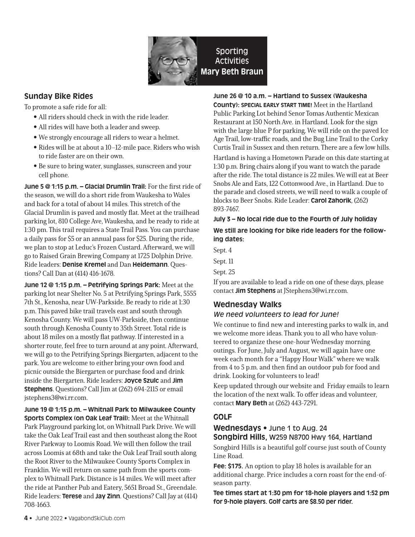

## **Sunday Bike Rides**

To promote a safe ride for all:

- All riders should check in with the ride leader.
- All rides will have both a leader and sweep.
- We strongly encourage all riders to wear a helmet.
- Rides will be at about a 10–12-mile pace. Riders who wish to ride faster are on their own.
- Be sure to bring water, sunglasses, sunscreen and your cell phone.

**June 5 @ 1:15 p.m. – Glacial Drumlin Trail:** For the first ride of the season, we will do a short ride from Waukesha to Wales and back for a total of about 14 miles. This stretch of the Glacial Drumlin is paved and mostly flat. Meet at the trailhead parking lot, 810 College Ave, Waukesha, and be ready to ride at 1:30 pm. This trail requires a State Trail Pass. You can purchase a daily pass for \$5 or an annual pass for \$25. During the ride, we plan to stop at Leduc's Frozen Custard. Afterward, we will go to Raised Grain Brewing Company at 1725 Dolphin Drive. Ride leaders: **Denise Kremel** and Dan **Heidemann**. Questions? Call Dan at (414) 416-1678.

**June 12 @ 1:15 p.m. – Petrifying Springs Park:** Meet at the parking lot near Shelter No. 5 at Petrifying Springs Park, 5555 7th St., Kenosha, near UW-Parkside. Be ready to ride at 1:30 p.m. This paved bike trail travels east and south through Kenosha County. We will pass UW-Parkside, then continue south through Kenosha County to 35th Street. Total ride is about 18 miles on a mostly flat pathway. If interested in a shorter route, feel free to turn around at any point. Afterward, we will go to the Petrifying Springs Biergarten, adjacent to the park. You are welcome to either bring your own food and picnic outside the Biergarten or purchase food and drink inside the Biergarten. Ride leaders: **Joyce Szulc** and **Jim Stephens**. Questions? Call Jim at (262) 694-2115 or email jstephens3@wi.rr.com.

**June 19 @ 1:15 p.m. – Whitnall Park to Milwaukee County Sports Complex (on Oak Leaf Trail):** Meet at the Whitnall Park Playground parking lot, on Whitnall Park Drive. We will take the Oak Leaf Trail east and then southeast along the Root River Parkway to Loomis Road. We will then follow the trail across Loomis at 68th and take the Oak Leaf Trail south along the Root River to the Milwaukee County Sports Complex in Franklin. We will return on same path from the sports complex to Whitnall Park. Distance is 14 miles. We will meet after the ride at Panther Pub and Eatery, 5651 Broad St., Greendale. Ride leaders: **Terese** and **Jay Zinn**. Questions? Call Jay at (414) 708-1663.

#### **June 26 @ 10 a.m. – Hartland to Sussex (Waukesha**

**County): SPECIAL EARLY START TIME!** Meet in the Hartland Public Parking Lot behind Senor Tomas Authentic Mexican Restaurant at 150 North Ave. in Hartland. Look for the sign with the large blue P for parking. We will ride on the paved Ice Age Trail, low-traffic roads, and the Bug Line Trail to the Corky Curtis Trail in Sussex and then return. There are a few low hills.

Hartland is having a Hometown Parade on this date starting at 1:30 p.m. Bring chairs along if you want to watch the parade after the ride. The total distance is 22 miles. We will eat at Beer Snobs Ale and Eats, 122 Cottonwood Ave., in Hartland. Due to the parade and closed streets, we will need to walk a couple of blocks to Beer Snobs. Ride Leader: **Carol Zahorik**, (262) 893-7467.

#### **July 3 – No local ride due to the Fourth of July holiday**

#### **We still are looking for bike ride leaders for the following dates:**

Sept. 4

Sept. 11

Sept. 25

If you are available to lead a ride on one of these days, please contact **Jim Stephens** at JStephens3@wi.rr.com.

# **Wednesday Walks**

#### *We need volunteers to lead for June!*

We continue to find new and interesting parks to walk in, and we welcome more ideas. Thank you to all who have volunteered to organize these one-hour Wednesday morning outings. For June, July and August, we will again have one week each month for a "Happy Hour Walk" where we walk from 4 to 5 p.m. and then find an outdoor pub for food and drink. Looking for volunteers to lead!

Keep updated through our website and Friday emails to learn the location of the next walk. To offer ideas and volunteer, contact **Mary Beth** at (262) 443-7291.

## **GOLF**

#### **Wednesdays •** June 1 to Aug. 24 **Songbird Hills,** W259 N8700 Hwy 164, Hartland

Songbird Hills is a beautiful golf course just south of County Line Road.

**Fee: \$175.** An option to play 18 holes is available for an additional charge. Price includes a corn roast for the end-ofseason party.

**Tee times start at 1:30 pm for 18-hole players and 1:52 pm for 9-hole players. Golf carts are \$8.50 per rider.**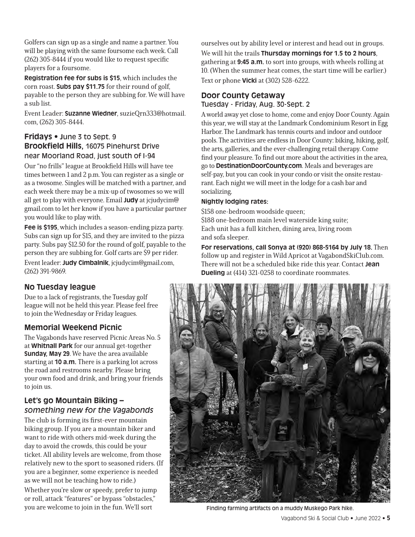Golfers can sign up as a single and name a partner. You will be playing with the same foursome each week. Call (262) 305-8444 if you would like to request specific players for a foursome.

**Registration fee for subs is \$15**, which includes the corn roast. **Subs pay \$11.75** for their round of golf, payable to the person they are subbing for. We will have a sub list.

Event Leader: **Suzanne Wiedner**, suzieQrn333@hotmail. com, (262) 305-8444.

## **Fridays • J**une 3 to Sept. 9 **Brookfield Hills,** 16075 Pinehurst Drive near Moorland Road, just south of I-94

Our "no frills" league at Brookfield Hills will have tee times between 1 and 2 p.m. You can register as a single or as a twosome. Singles will be matched with a partner, and each week there may be a mix-up of twosomes so we will all get to play with everyone. Email **Judy** at jcjudycim@ gmail.com to let her know if you have a particular partner you would like to play with.

**Fee is \$195**, which includes a season-ending pizza party. Subs can sign up for \$15, and they are invited to the pizza party. Subs pay \$12.50 for the round of golf, payable to the person they are subbing for. Golf carts are \$9 per rider.

Event leader: **Judy Cimbalnik**, jcjudycim@gmail.com, (262) 391-9869.

# **No Tuesday league**

Due to a lack of registrants, the Tuesday golf league will not be held this year. Please feel free to join the Wednesday or Friday leagues.

## **Memorial Weekend Picnic**

The Vagabonds have reserved Picnic Areas No. 5 at **Whitnall Park** for our annual get-together **Sunday, May 29**. We have the area available starting at **10 a.m.** There is a parking lot across the road and restrooms nearby. Please bring your own food and drink, and bring your friends to join us.

# **Let's go Mountain Biking –**  *something new for the Vagabonds*

The club is forming its first-ever mountain biking group. If you are a mountain biker and want to ride with others mid-week during the day to avoid the crowds, this could be your ticket. All ability levels are welcome, from those relatively new to the sport to seasoned riders. (If you are a beginner, some experience is needed as we will not be teaching how to ride.)

Whether you're slow or speedy, prefer to jump or roll, attack "features" or bypass "obstacles," you are welcome to join in the fun. We'll sort

ourselves out by ability level or interest and head out in groups. We will hit the trails **Thursday mornings for 1.5 to 2 hours**, gathering at **9:45 a.m.** to sort into groups, with wheels rolling at 10. (When the summer heat comes, the start time will be earlier.) Text or phone **Vicki** at (302) 528-6222.

#### **Door County Getaway** Tuesday - Friday, Aug. 30-Sept. 2

A world away yet close to home, come and enjoy Door County. Again this year, we will stay at the Landmark Condominium Resort in Egg Harbor. The Landmark has tennis courts and indoor and outdoor pools. The activities are endless in Door County: biking, hiking, golf, the arts, galleries, and the ever-challenging retail therapy. Come find your pleasure. To find out more about the activities in the area, go to **DestinationDoorCounty.com**. Meals and beverages are self-pay, but you can cook in your condo or visit the onsite restaurant. Each night we will meet in the lodge for a cash bar and socializing.

#### **Nightly lodging rates:**

\$158 one-bedroom woodside queen; \$188 one-bedroom main level waterside king suite; Each unit has a full kitchen, dining area, living room and sofa sleeper.

**For reservations, call Sonya at (920) 868-5164 by July 18.** Then follow up and register in Wild Apricot at VagabondSkiClub.com. There will not be a scheduled bike ride this year. Contact **Jean Dueling** at (414) 321-0258 to coordinate roommates.



Finding farming artifacts on a muddy Muskego Park hike.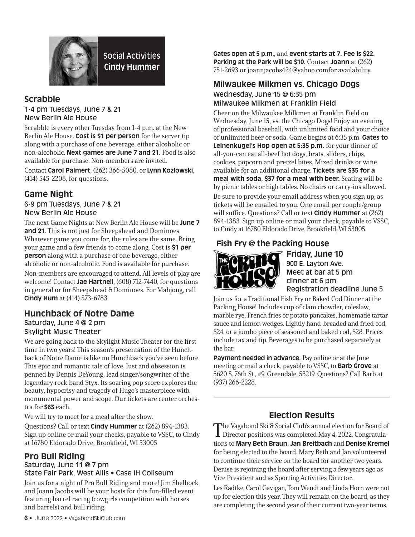

# **Scrabble**

1-4 pm Tuesdays, June 7 & 21 New Berlin Ale House

Scrabble is every other Tuesday from 1-4 p.m. at the New Berlin Ale House. **Cost is \$1 per person** for the server tip along with a purchase of one beverage, either alcoholic or non-alcoholic. **Next games are June 7 and 21.** Food is also available for purchase. Non-members are invited.

Contact **Carol Palmert**, (262) 366-5080, or **Lynn Kozlowski**, (414) 545-2208, for questions.

# **Game Night**

6-9 pm Tuesdays, June 7 & 21 New Berlin Ale House

The next Game Nights at New Berlin Ale House will be **June 7 and 21**. This is not just for Sheepshead and Dominoes. Whatever game you come for, the rules are the same. Bring your game and a few friends to come along. Cost is **\$1 per person** along with a purchase of one beverage, either alcoholic or non-alcoholic. Food is available for purchase. Non-members are encouraged to attend. All levels of play are welcome! Contact **Jae Hartnell**, (608) 712-7440, for questions in general or for Sheepshead & Dominoes. For Mahjong, call **Cindy Hum** at (414) 573-6783.

## **Hunchback of Notre Dame**

#### Saturday, June 4 @ 2 pm Skylight Music Theater

We are going back to the Skylight Music Theater for the first time in two years! This season's presentation of the Hunchback of Notre Dame is like no Hunchback you've seen before. This epic and romantic tale of love, lust and obsession is penned by Dennis DeYoung, lead singer/songwriter of the legendary rock band Styx. Its soaring pop score explores the beauty, hypocrisy and tragedy of Hugo's masterpiece with monumental power and scope. Our tickets are center orchestra for **\$63** each.

We will try to meet for a meal after the show.

Questions? Call or text **Cindy Hummer** at (262) 894-1383. Sign up online or mail your checks, payable to VSSC, to Cindy at 16780 Eldorado Drive, Brookfield, WI 53005

## **Pro Bull Riding**

#### Saturday, June 11 @ 7 pm State Fair Park, West Allis • Case IH Coliseum

Join us for a night of Pro Bull Riding and more! Jim Shelbock and Joann Jacobs will be your hosts for this fun-filled event featuring barrel racing (cowgirls competition with horses and barrels) and bull riding.

**Gates open at 5 p.m**., and **event starts at 7. Fee is \$22. Parking at the Park will be \$10.** Contact **Joann** at (262) 751-2693 or joannjacobs424@yahoo.comfor availability.

#### **Milwaukee Milkmen vs. Chicago Dogs** Wednesday, June 15 @ 6:35 pm Milwaukee Milkmen at Franklin Field

Cheer on the Milwaukee Milkmen at Franklin Field on Wednesday, June 15, vs. the Chicago Dogs! Enjoy an evening of professional baseball, with unlimited food and your choice of unlimited beer or soda. Game begins at 6:35 p.m. **Gates to Leinenkugel's Hop open at 5:35 p.m.** for your dinner of all-you-can eat all-beef hot dogs, brats, sliders, chips, cookies, popcorn and pretzel bites. Mixed drinks or wine available for an additional charge. **Tickets are \$35 for a meal with soda, \$37 for a meal with beer.** Seating will be by picnic tables or high tables. No chairs or carry-ins allowed. Be sure to provide your email address when you sign up, as tickets will be emailed to you. One email per couple/group will suffice. Questions? Call or text **Cindy Hummer** at (262) 894-1383. Sign up online or mail your check, payable to VSSC, to Cindy at 16780 Eldorado Drive, Brookfield, WI 53005.

# **Fish Fry @ the Packing House**



**Friday, June 10** 900 E. Layton Ave. Meet at bar at 5 pm dinner at 6 pm Registration deadline June 5

Join us for a Traditional Fish Fry or Baked Cod Dinner at the Packing House! Includes cup of clam chowder, coleslaw, marble rye, French fries or potato pancakes, homemade tartar sauce and lemon wedges. Lightly hand-breaded and fried cod, \$24, or a jumbo piece of seasoned and baked cod, \$28. Prices include tax and tip. Beverages to be purchased separately at the bar.

**Payment needed in advance.** Pay online or at the June meeting or mail a check, payable to VSSC, to **Barb Grove** at 5620 S. 76th St., #9, Greendale, 53219. Questions? Call Barb at (937) 266-2228.

# **Election Results**

The Vagabond Ski & Social Club's annual election for Board of Director positions was completed May 4, 2022. Congratulations to **Mary Beth Braun, Jan Breitbach** and **Denise Kremel**  for being elected to the board. Mary Beth and Jan volunteered to continue their service on the board for another two years. Denise is rejoining the board after serving a few years ago as Vice President and as Sporting Activities Director.

Les Radtke, Carol Gavigan, Tom Wendt and Linda Horn were not up for election this year. They will remain on the board, as they are completing the second year of their current two-year terms.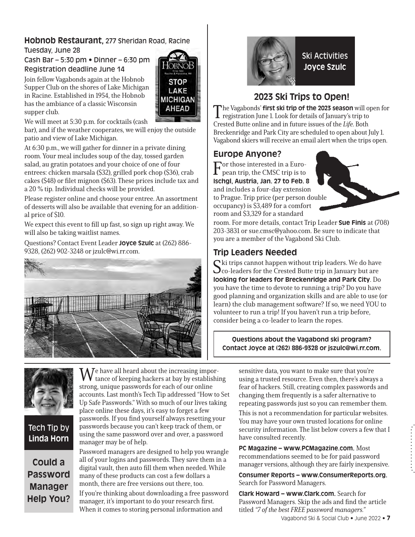# **Hobnob Restaurant,** 277 Sheridan Road, Racine

**STOP** LAKE **MICHIGAN AHEAD** 

Tuesday, June 28

Cash Bar – 5:30 pm • Dinner – 6:30 pm Registration deadline June 14

Join fellow Vagabonds again at the Hobnob Supper Club on the shores of Lake Michigan in Racine. Established in 1954, the Hobnob has the ambiance of a classic Wisconsin supper club.

We will meet at 5:30 p.m. for cocktails (cash

bar), and if the weather cooperates, we will enjoy the outside patio and view of Lake Michigan.

At 6:30 p.m., we will gather for dinner in a private dining room. Your meal includes soup of the day, tossed garden salad, au gratin potatoes and your choice of one of four entrees: chicken marsala (\$32), grilled pork chop (\$36), crab cakes (\$48) or filet mignon (\$63). These prices include tax and a 20 % tip. Individual checks will be provided.

Please register online and choose your entree. An assortment of desserts will also be available that evening for an additional price of \$10.

We expect this event to fill up fast, so sign up right away. We will also be taking waitlist names.

Questions? Contact Event Leader **Joyce Szulc** at (262) 886- 9328, (262) 902-3248 or jzulc@wi.rr.com.





# **2023 Ski Trips to Open!**

The Vagabonds' **first ski trip of the 2023 season** will open for registration June 1. Look for details of January's trip to Crested Butte online and in future issues of the Life. Both Breckenridge and Park City are scheduled to open about July 1. Vagabond skiers will receive an email alert when the trips open.

# **Europe Anyone?**

For those interested in a Euro-pean trip, the CMSC trip is to **Ischgl, Austria, Jan. 27 to Feb. 8** and includes a four-day extension to Prague. Trip price (per person double occupancy) is \$3,489 for a comfort room and \$3,329 for a standard



room. For more details, contact Trip Leader **Sue Finis** at (708) 203-3831 or sue.cmsc@yahoo.com. Be sure to indicate that you are a member of the Vagabond Ski Club.

# **Trip Leaders Needed**

 $\mathbf C$ ki trips cannot happen without trip leaders. We do have  $\mathbf{\mathcal{O}}$  co-leaders for the Crested Butte trip in January but are **looking for leaders for Breckenridge and Park City**. Do you have the time to devote to running a trip? Do you have good planning and organization skills and are able to use (or learn) the club management software? If so, we need YOU to volunteer to run a trip! If you haven't run a trip before, consider being a co-leader to learn the ropes.

**Questions about the Vagabond ski program? Contact Joyce at (262) 886-9328 or jszulc@wi.rr.com.**

 $\mathbf{M}$ e have all heard about the increasing importance of keeping hackers at bay by establishing strong, unique passwords for each of our online accounts. Last month's Tech Tip addressed "How to Set Up Safe Passwords." With so much of our lives taking place online these days, it's easy to forget a few passwords. If you find yourself always resetting your passwords because you can't keep track of them, or using the same password over and over, a password manager may be of help.

**Could a Password Manager Help You?**

Tech Tip by **Linda Horn**

> Password managers are designed to help you wrangle all of your logins and passwords. They save them in a digital vault, then auto fill them when needed. While many of these products can cost a few dollars a month, there are free versions out there, too.

If you're thinking about downloading a free password manager, it's important to do your research first. When it comes to storing personal information and

sensitive data, you want to make sure that you're using a trusted resource. Even then, there's always a fear of hackers. Still, creating complex passwords and changing them frequently is a safer alternative to repeating passwords just so you can remember them.

This is not a recommendation for particular websites. You may have your own trusted locations for online security information. The list below covers a few that I have consulted recently.

**PC Magazine – www.PCMagazine.com.** Most recommendations seemed to be for paid password manager versions, although they are fairly inexpensive.

**Consumer Reports – www.ConsumerReports.org.**  Search for Password Managers.

Vagabond Ski & Social Club • June 2022 • **7 Clark Howard – www.Clark.com.** Search for Password Managers. Skip the ads and find the article titled "7 of the best FREE password managers."